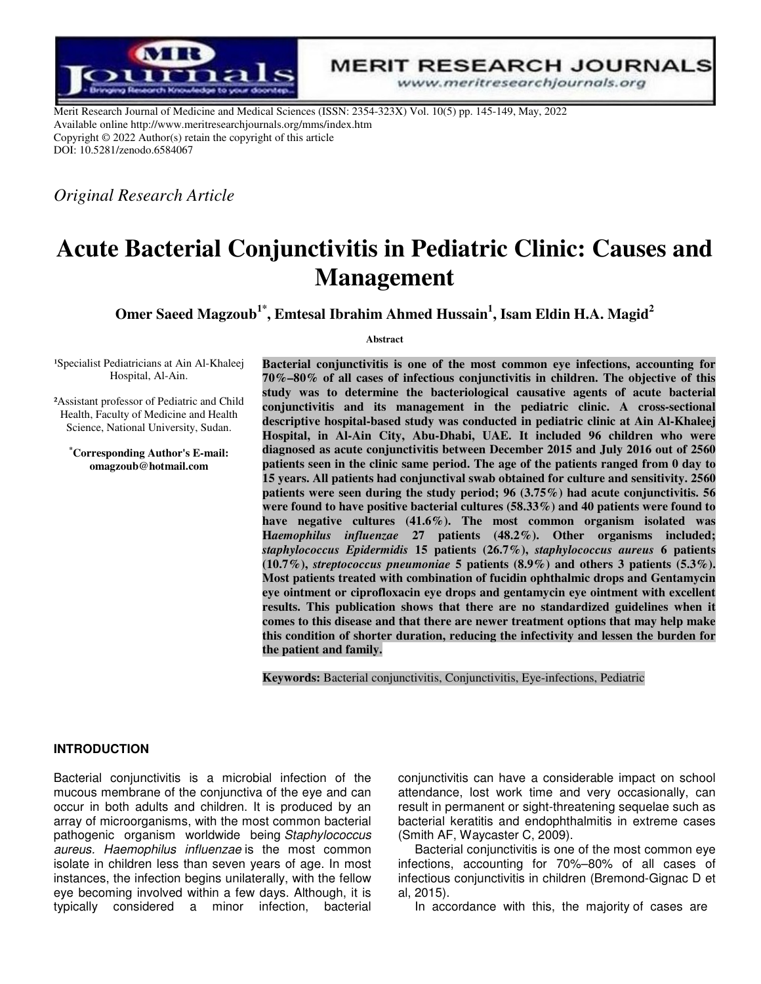

**MERIT RESEARCH JOURNALS** 

www.meritresearchjournals.org

Merit Research Journal of Medicine and Medical Sciences (ISSN: 2354-323X) Vol. 10(5) pp. 145-149, May, 2022 Available online http://www.meritresearchjournals.org/mms/index.htm Copyright © 2022 Author(s) retain the copyright of this article DOI: 10.5281/zenodo.6584067

*Original Research Article* 

# **Acute Bacterial Conjunctivitis in Pediatric Clinic: Causes and Management**

**Omer Saeed Magzoub1\*, Emtesal Ibrahim Ahmed Hussain<sup>1</sup> , Isam Eldin H.A. Magid<sup>2</sup>**

**Abstract** 

<sup>1</sup>Specialist Pediatricians at Ain Al-Khaleej Hospital, Al-Ain.

²Assistant professor of Pediatric and Child Health, Faculty of Medicine and Health Science, National University, Sudan.

**\*Corresponding Author's E-mail: omagzoub@hotmail.com**

**Bacterial conjunctivitis is one of the most common eye infections, accounting for 70%–80% of all cases of infectious conjunctivitis in children. The objective of this study was to determine the bacteriological causative agents of acute bacterial conjunctivitis and its management in the pediatric clinic. A cross-sectional descriptive hospital-based study was conducted in pediatric clinic at Ain Al-Khaleej Hospital, in Al-Ain City, Abu-Dhabi, UAE. It included 96 children who were diagnosed as acute conjunctivitis between December 2015 and July 2016 out of 2560 patients seen in the clinic same period. The age of the patients ranged from 0 day to 15 years. All patients had conjunctival swab obtained for culture and sensitivity. 2560 patients were seen during the study period; 96 (3.75%) had acute conjunctivitis. 56 were found to have positive bacterial cultures (58.33%) and 40 patients were found to have negative cultures (41.6%). The most common organism isolated was H***aemophilus influenzae* **27 patients (48.2%). Other organisms included;**  *staphylococcus Epidermidis* **15 patients (26.7%),** *staphylococcus aureus* **6 patients (10.7%),** *streptococcus pneumoniae* **5 patients (8.9%) and others 3 patients (5.3%). Most patients treated with combination of fucidin ophthalmic drops and Gentamycin eye ointment or ciprofloxacin eye drops and gentamycin eye ointment with excellent results. This publication shows that there are no standardized guidelines when it comes to this disease and that there are newer treatment options that may help make this condition of shorter duration, reducing the infectivity and lessen the burden for the patient and family.** 

**Keywords:** Bacterial conjunctivitis, Conjunctivitis, Eye-infections, Pediatric

### **INTRODUCTION**

Bacterial conjunctivitis is a microbial infection of the mucous membrane of the conjunctiva of the eye and can occur in both adults and children. It is produced by an array of microorganisms, with the most common bacterial pathogenic organism worldwide being Staphylococcus aureus. Haemophilus influenzae is the most common isolate in children less than seven years of age. In most instances, the infection begins unilaterally, with the fellow eye becoming involved within a few days. Although, it is typically considered a minor infection, bacterial

conjunctivitis can have a considerable impact on school attendance, lost work time and very occasionally, can result in permanent or sight-threatening sequelae such as bacterial keratitis and endophthalmitis in extreme cases (Smith AF, Waycaster C, 2009).

Bacterial conjunctivitis is one of the most common eye infections, accounting for 70%–80% of all cases of infectious conjunctivitis in children (Bremond-Gignac D et al, 2015).

In accordance with this, the majority of cases are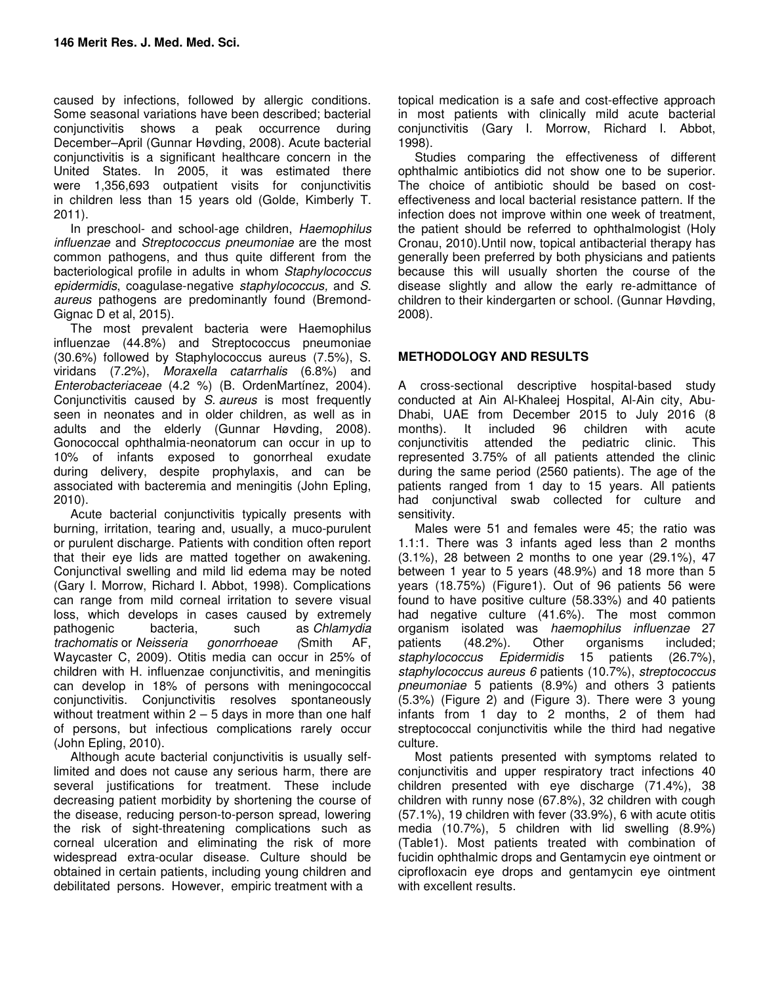caused by infections, followed by allergic conditions. Some seasonal variations have been described; bacterial conjunctivitis shows a peak occurrence during December–April (Gunnar Høvding, 2008). Acute bacterial conjunctivitis is a significant healthcare concern in the United States. In 2005, it was estimated there were 1,356,693 outpatient visits for conjunctivitis in children less than 15 years old (Golde, Kimberly T. 2011).

In preschool- and school-age children, Haemophilus influenzae and Streptococcus pneumoniae are the most common pathogens, and thus quite different from the bacteriological profile in adults in whom Staphylococcus epidermidis, coagulase-negative staphylococcus, and S. aureus pathogens are predominantly found (Bremond-Gignac D et al, 2015).

The most prevalent bacteria were Haemophilus influenzae (44.8%) and Streptococcus pneumoniae (30.6%) followed by Staphylococcus aureus (7.5%), S. viridans (7.2%), Moraxella catarrhalis (6.8%) and Enterobacteriaceae (4.2 %) (B. OrdenMartínez, 2004). Conjunctivitis caused by S. aureus is most frequently seen in neonates and in older children, as well as in adults and the elderly (Gunnar Høvding, 2008). Gonococcal ophthalmia-neonatorum can occur in up to 10% of infants exposed to gonorrheal exudate during delivery, despite prophylaxis, and can be associated with bacteremia and meningitis (John Epling, 2010).

Acute bacterial conjunctivitis typically presents with burning, irritation, tearing and, usually, a muco-purulent or purulent discharge. Patients with condition often report that their eye lids are matted together on awakening. Conjunctival swelling and mild lid edema may be noted (Gary I. Morrow, Richard I. Abbot, 1998). Complications can range from mild corneal irritation to severe visual loss, which develops in cases caused by extremely pathogenic bacteria, such as Chlamydia such as Chlamydia<br>gonorrhoeae (Smith AF, trachomatis or Neisseria gonorrhoeae (Smith AF, Waycaster C, 2009). Otitis media can occur in 25% of children with H. influenzae conjunctivitis, and meningitis can develop in 18% of persons with meningococcal conjunctivitis. Conjunctivitis resolves spontaneously without treatment within  $2 - 5$  days in more than one half of persons, but infectious complications rarely occur (John Epling, 2010).

Although acute bacterial conjunctivitis is usually selflimited and does not cause any serious harm, there are several justifications for treatment. These include decreasing patient morbidity by shortening the course of the disease, reducing person-to-person spread, lowering the risk of sight-threatening complications such as corneal ulceration and eliminating the risk of more widespread extra-ocular disease. Culture should be obtained in certain patients, including young children and debilitated persons. However, empiric treatment with a

topical medication is a safe and cost-effective approach in most patients with clinically mild acute bacterial conjunctivitis (Gary I. Morrow, Richard I. Abbot, 1998).

Studies comparing the effectiveness of different ophthalmic antibiotics did not show one to be superior. The choice of antibiotic should be based on costeffectiveness and local bacterial resistance pattern. If the infection does not improve within one week of treatment, the patient should be referred to ophthalmologist (Holy Cronau, 2010).Until now, topical antibacterial therapy has generally been preferred by both physicians and patients because this will usually shorten the course of the disease slightly and allow the early re-admittance of children to their kindergarten or school. (Gunnar Høvding, 2008).

## **METHODOLOGY AND RESULTS**

A cross-sectional descriptive hospital-based study conducted at Ain Al-Khaleej Hospital, Al-Ain city, Abu-Dhabi, UAE from December 2015 to July 2016 (8 months). It included 96 children with acute conjunctivitis attended the pediatric clinic. This represented 3.75% of all patients attended the clinic during the same period (2560 patients). The age of the patients ranged from 1 day to 15 years. All patients had conjunctival swab collected for culture and sensitivity.

Males were 51 and females were 45; the ratio was 1.1:1. There was 3 infants aged less than 2 months (3.1%), 28 between 2 months to one year (29.1%), 47 between 1 year to 5 years (48.9%) and 18 more than 5 years (18.75%) (Figure1). Out of 96 patients 56 were found to have positive culture (58.33%) and 40 patients had negative culture (41.6%). The most common organism isolated was haemophilus influenzae 27<br>patients (48.2%). Other organisms included; patients (48.2%). Other organisms included; staphylococcus Epidermidis 15 patients (26.7%), staphylococcus aureus 6 patients (10.7%), streptococcus pneumoniae 5 patients (8.9%) and others 3 patients (5.3%) (Figure 2) and (Figure 3). There were 3 young infants from 1 day to 2 months, 2 of them had streptococcal conjunctivitis while the third had negative culture.

Most patients presented with symptoms related to conjunctivitis and upper respiratory tract infections 40 children presented with eye discharge (71.4%), 38 children with runny nose (67.8%), 32 children with cough (57.1%), 19 children with fever (33.9%), 6 with acute otitis media (10.7%), 5 children with lid swelling (8.9%) (Table1). Most patients treated with combination of fucidin ophthalmic drops and Gentamycin eye ointment or ciprofloxacin eye drops and gentamycin eye ointment with excellent results.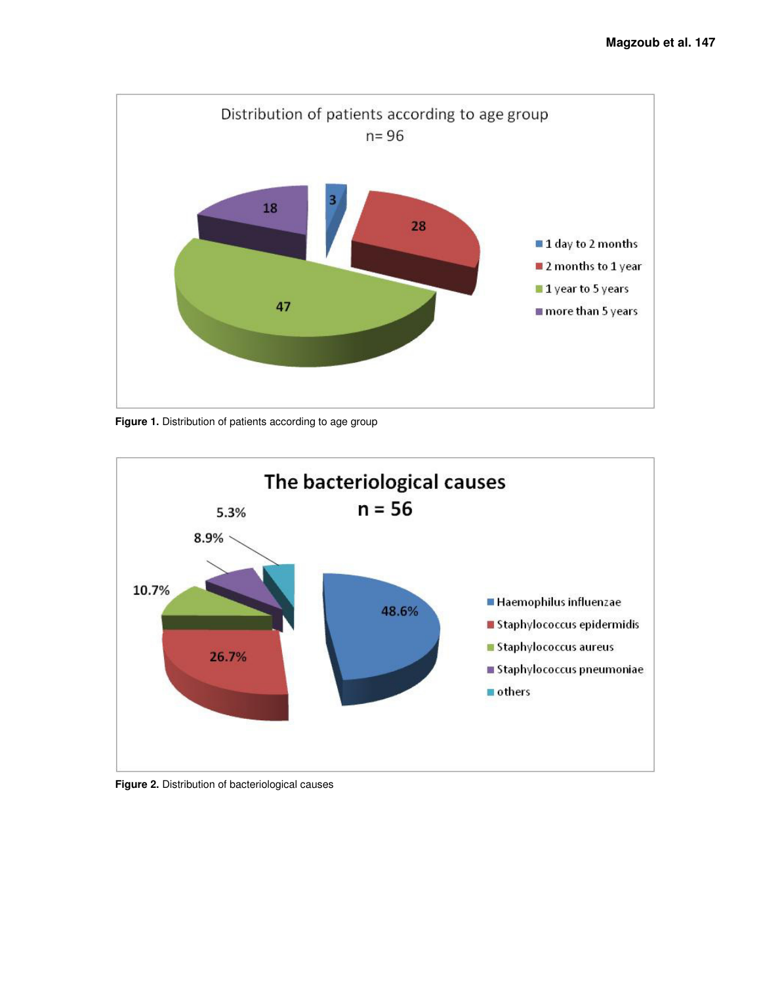

**Figure 1.** Distribution of patients according to age group



**Figure 2.** Distribution of bacteriological causes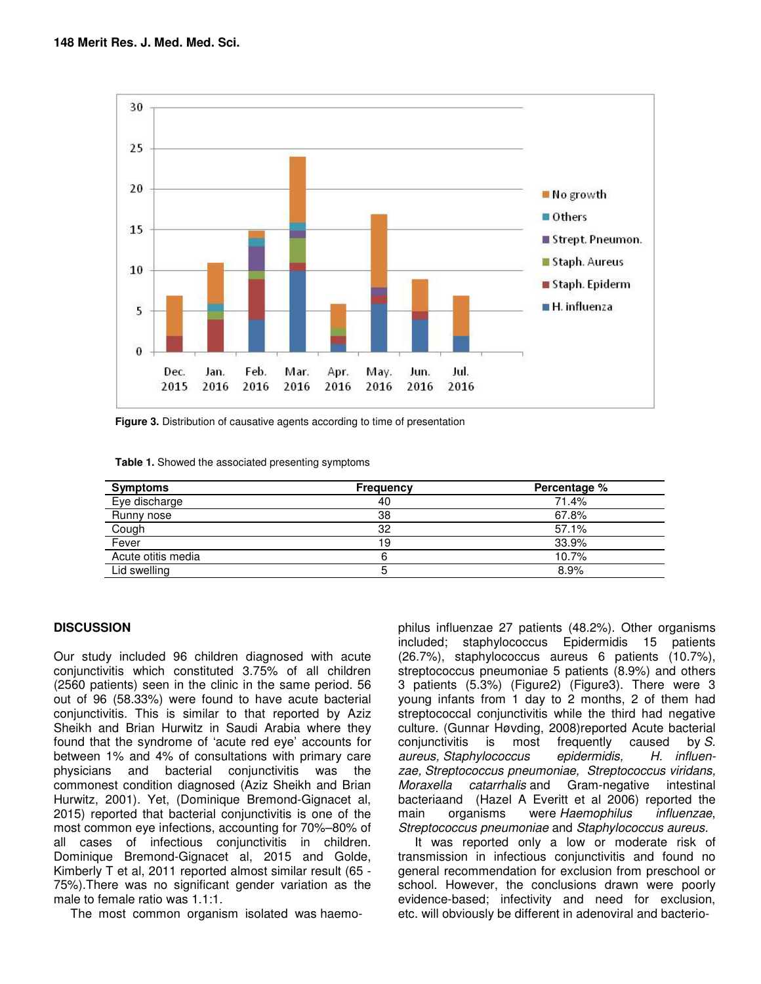

**Figure 3.** Distribution of causative agents according to time of presentation

| Table 1. Showed the associated presenting symptoms |  |
|----------------------------------------------------|--|
|----------------------------------------------------|--|

| <b>Symptoms</b>    | <b>Frequency</b> | Percentage % |
|--------------------|------------------|--------------|
| Eye discharge      | 40               | 71.4%        |
| Runny nose         | 38               | 67.8%        |
| Cough              | 32               | 57.1%        |
| Fever              | 19               | 33.9%        |
| Acute otitis media |                  | 10.7%        |
| Lid swelling       |                  | 8.9%         |

### **DISCUSSION**

Our study included 96 children diagnosed with acute conjunctivitis which constituted 3.75% of all children (2560 patients) seen in the clinic in the same period. 56 out of 96 (58.33%) were found to have acute bacterial conjunctivitis. This is similar to that reported by Aziz Sheikh and Brian Hurwitz in Saudi Arabia where they found that the syndrome of 'acute red eye' accounts for between 1% and 4% of consultations with primary care physicians and bacterial conjunctivitis was the commonest condition diagnosed (Aziz Sheikh and Brian Hurwitz, 2001). Yet, (Dominique Bremond-Gignacet al, 2015) reported that bacterial conjunctivitis is one of the most common eye infections, accounting for 70%–80% of all cases of infectious conjunctivitis in children. Dominique Bremond-Gignacet al, 2015 and Golde, Kimberly T et al, 2011 reported almost similar result (65 - 75%).There was no significant gender variation as the male to female ratio was 1.1:1.

The most common organism isolated was haemo-

philus influenzae 27 patients (48.2%). Other organisms included; staphylococcus Epidermidis 15 patients (26.7%), staphylococcus aureus 6 patients (10.7%), streptococcus pneumoniae 5 patients (8.9%) and others 3 patients (5.3%) (Figure2) (Figure3). There were 3 young infants from 1 day to 2 months, 2 of them had streptococcal conjunctivitis while the third had negative culture. (Gunnar Høvding, 2008)reported Acute bacterial conjunctivitis is most frequently caused by S. aureus, Staphylococcus epidermidis, H. influenzae, Streptococcus pneumoniae, Streptococcus viridans, Moraxella catarrhalis and Gram-negative intestinal bacteriaand (Hazel A Everitt et al 2006) reported the main organisms were Haemophilus influenzae, Streptococcus pneumoniae and Staphylococcus aureus.

It was reported only a low or moderate risk of transmission in infectious conjunctivitis and found no general recommendation for exclusion from preschool or school. However, the conclusions drawn were poorly evidence-based; infectivity and need for exclusion, etc. will obviously be different in adenoviral and bacterio